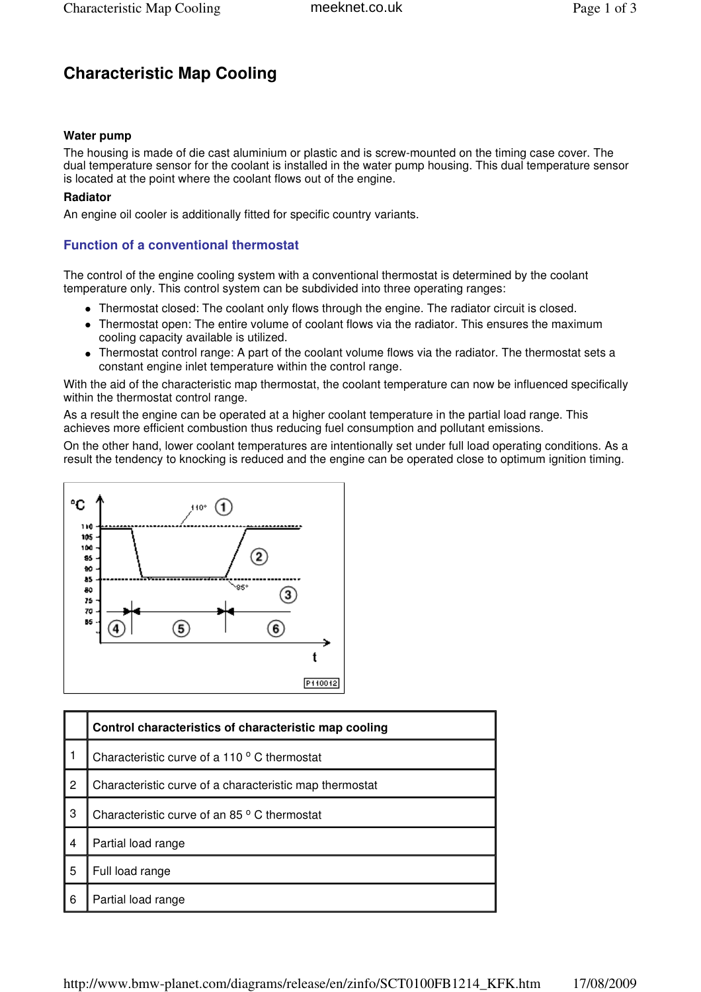# **Characteristic Map Cooling**

# **Water pump**

### **Radiator**

## **Function of a conventional thermostat**

- Thermostat closed: The coolant only flows through the engine. The radiator circuit is closed.
- Thermostat open: The entire volume of coolant flows via the radiator. This ensures the maximum cooling capacity available is utilized.
- Thermostat control range: A part of the coolant volume flows via the radiator. The thermostat sets a constant engine inlet temperature within the control range.



| Characteristic Map Cooling                                                                                                                                                                                           | meeknet.co.uk                                                                                                                                                                                                                                                                                                                                                                                                                                                                                                                                                                                                                                                                                                                                                                                                                                                                | Page 1 of 3 |
|----------------------------------------------------------------------------------------------------------------------------------------------------------------------------------------------------------------------|------------------------------------------------------------------------------------------------------------------------------------------------------------------------------------------------------------------------------------------------------------------------------------------------------------------------------------------------------------------------------------------------------------------------------------------------------------------------------------------------------------------------------------------------------------------------------------------------------------------------------------------------------------------------------------------------------------------------------------------------------------------------------------------------------------------------------------------------------------------------------|-------------|
| <b>Characteristic Map Cooling</b>                                                                                                                                                                                    |                                                                                                                                                                                                                                                                                                                                                                                                                                                                                                                                                                                                                                                                                                                                                                                                                                                                              |             |
| <b>Water pump</b><br>is located at the point where the coolant flows out of the engine.<br>Radiator<br>An engine oil cooler is additionally fitted for specific country variants.                                    | The housing is made of die cast aluminium or plastic and is screw-mounted on the timing case cover. The<br>dual temperature sensor for the coolant is installed in the water pump housing. This dual temperature sensor                                                                                                                                                                                                                                                                                                                                                                                                                                                                                                                                                                                                                                                      |             |
| <b>Function of a conventional thermostat</b>                                                                                                                                                                         |                                                                                                                                                                                                                                                                                                                                                                                                                                                                                                                                                                                                                                                                                                                                                                                                                                                                              |             |
|                                                                                                                                                                                                                      | The control of the engine cooling system with a conventional thermostat is determined by the coolant<br>temperature only. This control system can be subdivided into three operating ranges:                                                                                                                                                                                                                                                                                                                                                                                                                                                                                                                                                                                                                                                                                 |             |
| cooling capacity available is utilized.<br>constant engine inlet temperature within the control range.<br>within the thermostat control range.<br>105<br>100<br>85<br>ĐO<br>85<br>·85°<br>80<br>75<br>70<br>b5<br>5) | • Thermostat closed: The coolant only flows through the engine. The radiator circuit is closed.<br>• Thermostat open: The entire volume of coolant flows via the radiator. This ensures the maximum<br>• Thermostat control range: A part of the coolant volume flows via the radiator. The thermostat sets a<br>With the aid of the characteristic map thermostat, the coolant temperature can now be influenced specifically<br>As a result the engine can be operated at a higher coolant temperature in the partial load range. This<br>achieves more efficient combustion thus reducing fuel consumption and pollutant emissions.<br>On the other hand, lower coolant temperatures are intentionally set under full load operating conditions. As a<br>result the tendency to knocking is reduced and the engine can be operated close to optimum ignition timing.<br>6 |             |
|                                                                                                                                                                                                                      | P110012                                                                                                                                                                                                                                                                                                                                                                                                                                                                                                                                                                                                                                                                                                                                                                                                                                                                      |             |
| Control characteristics of characteristic map cooling                                                                                                                                                                |                                                                                                                                                                                                                                                                                                                                                                                                                                                                                                                                                                                                                                                                                                                                                                                                                                                                              |             |
| 1<br>Characteristic curve of a 110 ° C thermostat                                                                                                                                                                    |                                                                                                                                                                                                                                                                                                                                                                                                                                                                                                                                                                                                                                                                                                                                                                                                                                                                              |             |
| $\overline{c}$<br>Characteristic curve of a characteristic map thermostat                                                                                                                                            |                                                                                                                                                                                                                                                                                                                                                                                                                                                                                                                                                                                                                                                                                                                                                                                                                                                                              |             |
| 3<br>Characteristic curve of an 85 ° C thermostat                                                                                                                                                                    |                                                                                                                                                                                                                                                                                                                                                                                                                                                                                                                                                                                                                                                                                                                                                                                                                                                                              |             |
| Partial load range<br>4                                                                                                                                                                                              |                                                                                                                                                                                                                                                                                                                                                                                                                                                                                                                                                                                                                                                                                                                                                                                                                                                                              |             |
| 5<br>Full load range                                                                                                                                                                                                 |                                                                                                                                                                                                                                                                                                                                                                                                                                                                                                                                                                                                                                                                                                                                                                                                                                                                              |             |
| Partial load range<br>6                                                                                                                                                                                              |                                                                                                                                                                                                                                                                                                                                                                                                                                                                                                                                                                                                                                                                                                                                                                                                                                                                              |             |
|                                                                                                                                                                                                                      | http://www.bmw-planet.com/diagrams/release/en/zinfo/SCT0100FB1214_KFK.htm                                                                                                                                                                                                                                                                                                                                                                                                                                                                                                                                                                                                                                                                                                                                                                                                    | 17/08/2009  |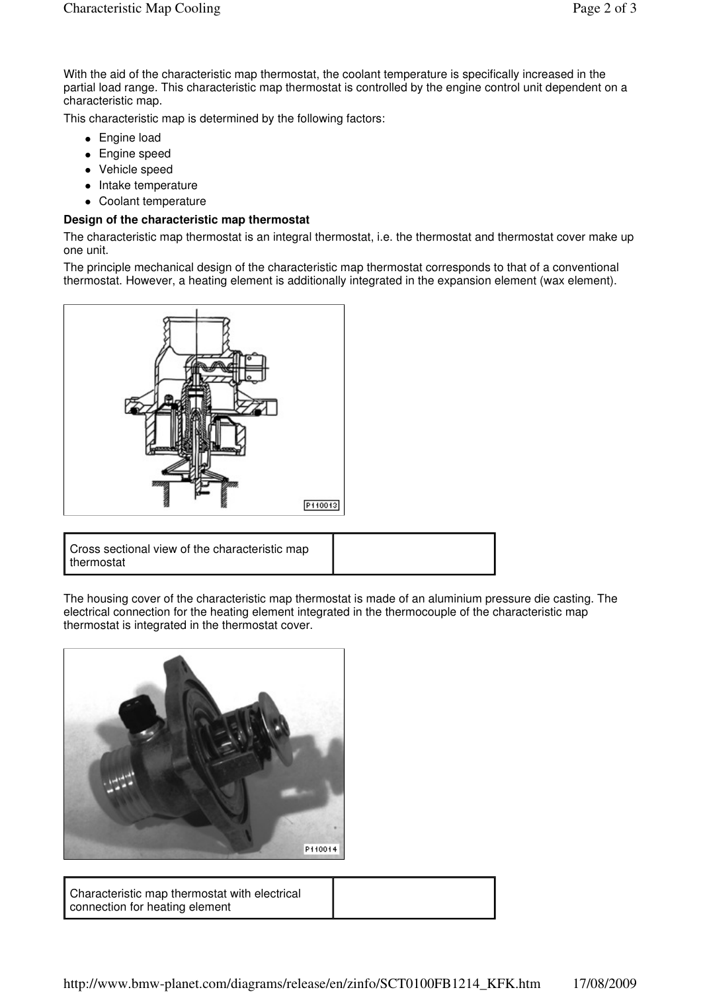With the aid of the characteristic map thermostat, the coolant temperature is specifically increased in the partial load range. This characteristic map thermostat is controlled by the engine control unit dependent on a characteristic map.

This characteristic map is determined by the following factors:

- Engine load
- Engine speed
- Vehicle speed
- Intake temperature
- Coolant temperature

#### **Design of the characteristic map thermostat**

The characteristic map thermostat is an integral thermostat, i.e. the thermostat and thermostat cover make up one unit.

The principle mechanical design of the characteristic map thermostat corresponds to that of a conventional thermostat. However, a heating element is additionally integrated in the expansion element (wax element).



| Cross sectional view of the characteristic map<br>thermostat |
|--------------------------------------------------------------|
|--------------------------------------------------------------|

The housing cover of the characteristic map thermostat is made of an aluminium pressure die casting. The electrical connection for the heating element integrated in the thermocouple of the characteristic map thermostat is integrated in the thermostat cover.



Characteristic map thermostat with electrical connection for heating element